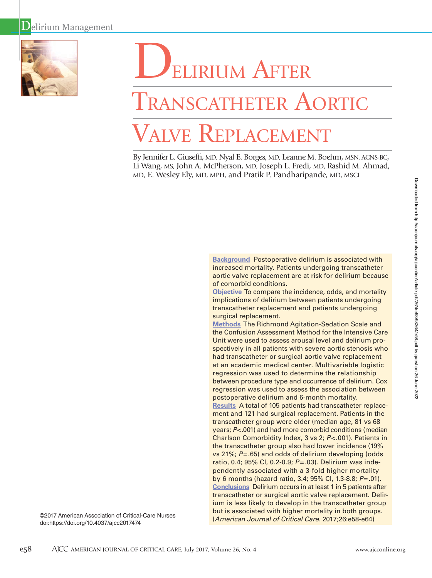

# ELIRIUM AFTER

# Transcatheter Aortic Valve Replacement

By Jennifer L. Giuseffi, MD, Nyal E. Borges, MD, Leanne M. Boehm, MSN, ACNS-BC, Li Wang, MS, John A. McPherson, MD, Joseph L. Fredi, MD, Rashid M. Ahmad, MD, E. Wesley Ely, MD, MPH, and Pratik P. Pandharipande, MD, MSCI

> **Background** Postoperative delirium is associated with increased mortality. Patients undergoing transcatheter aortic valve replacement are at risk for delirium because of comorbid conditions.

**Objective** To compare the incidence, odds, and mortality implications of delirium between patients undergoing transcatheter replacement and patients undergoing surgical replacement.

the Confusion Assessment Method for the Intensive Care Unit were used to assess arousal level and delirium prospectively in all patients with severe aortic stenosis who had transcatheter or surgical aortic valve replacement regression was used to determine the relationship between procedure type and occurrence of delirium. Cox regression was used to assess the association between postoperative delirium and 6-month mortality. ment and 121 had surgical replacement. Patients in the ratio, 0.4; 95% CI, 0.2-0.9; *P*=.03). Delirium was independently associated with a 3-fold higher mortality by 6 months (hazard ratio, 3.4; 95% CI, 1.3-8.8; *P*=.01). transcatheter or surgical aortic valve replacement. Delirium is less likely to develop in the transcatheter group but is associated with higher mortality in both groups. (*American Journal of Critical Care.* 2017;26:e58-e64)

Downloaded from http://aacnjournals.org/ajcoonline/article-pdf/26/4/e58/98364/e58.pdf by guest on 26 June 2022 Downloaded from http://aacnjournals.org/ajcconline/article-pdf/26/4/e58/98364/e58.pdf by guest on 26 June 2022

**Methods** The Richmond Agitation-Sedation Scale and at an academic medical center. Multivariable logistic **Results** A total of 105 patients had transcatheter replacetranscatheter group were older (median age, 81 vs 68 years; *P*<.001) and had more comorbid conditions (median Charlson Comorbidity Index, 3 vs 2; *P*<.001). Patients in the transcatheter group also had lower incidence (19% vs 21%; *P*=.65) and odds of delirium developing (odds **Conclusions** Delirium occurs in at least 1 in 5 patients after

©2017 American Association of Critical-Care Nurses doi:https://doi.org/10.4037/ajcc2017474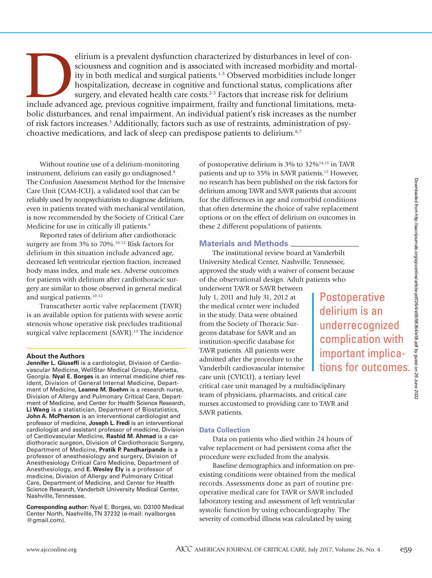elirium is a prevalent dysfunction characterized by disturbances in level of consciousness and cognition and is associated with increased morbidity and mortality in both medical and surgical patients.<sup>1-3</sup> Observed morbidi sciousness and cognition and is associated with increased morbidity and mortality in both medical and surgical patients.<sup>1-3</sup> Observed morbidities include longer hospitalization, decrease in cognitive and functional status, complications after surgery, and elevated health care costs.<sup>2-5</sup> Factors that increase risk for delirium bolic disturbances, and renal impairment. An individual patient's risk increases as the number of risk factors increases.<sup>3</sup> Additionally, factors such as use of restraints, administration of psychoactive medications, and lack of sleep can predispose patients to delirium.<sup>6,7</sup>

Without routine use of a delirium-monitoring instrument, delirium can easily go undiagnosed.<sup>8</sup> The Confusion Assessment Method for the Intensive Care Unit (CAM-ICU), a validated tool that can be reliably used by nonpsychiatrists to diagnose delirium, even in patients treated with mechanical ventilation, is now recommended by the Society of Critical Care Medicine for use in critically ill patients.<sup>9</sup>

Reported rates of delirium after cardiothoracic surgery are from 3% to 70%.10-12 Risk factors for delirium in this situation include advanced age, decreased left ventricular ejection fraction, increased body mass index, and male sex. Adverse outcomes for patients with delirium after cardiothoracic surgery are similar to those observed in general medical and surgical patients.10-12

Transcatheter aortic valve replacement (TAVR) is an available option for patients with severe aortic stenosis whose operative risk precludes traditional surgical valve replacement (SAVR).<sup>13</sup> The incidence

# **About the Authors**

**Jennifer L. Giuseffi** is a cardiologist, Division of Cardiovascular Medicine, WellStar Medical Group, Marietta, Georgia. **Nyal E. Borges** is an internal medicine chief resident, Division of General Internal Medicine, Department of Medicine, **Leanne M. Boehm** is a research nurse, Division of Allergy and Pulmonary Critical Care, Department of Medicine, and Center for Health Science Research, **Li Wang** is a statistician, Department of Biostatistics, **John A. McPherson** is an interventional cardiologist and professor of medicine, **Joseph L. Fredi** is an interventional cardiologist and assistant professor of medicine, Division of Cardiovascular Medicine, **Rashid M. Ahmad** is a cardiothoracic surgeon, Division of Cardiothoracic Surgery, Department of Medicine, **Pratik P. Pandharipande** is a professor of anesthesiology and surgery, Division of Anesthesiology Critical Care Medicine, Department of Anesthesiology, and **E. Wesley Ely** is a professor of medicine, Division of Allergy and Pulmonary Critical Care, Department of Medicine, and Center for Health Science Research, Vanderbilt University Medical Center, Nashville, Tennessee.

**Corresponding author:** Nyal E. Borges, MD, D3100 Medical Center North, Nashville, TN 37232 (e-mail: nyalborges @gmail.com).

of postoperative delirium is 3% to 32%14,15 in TAVR patients and up to 35% in SAVR patients.15 However, no research has been published on the risk factors for delirium among TAVR and SAVR patients that account for the differences in age and comorbid conditions that often determine the choice of valve replacement options or on the effect of delirium on outcomes in these 2 different populations of patients.

# **Materials and Methods**

The institutional review board at Vanderbilt University Medical Center, Nashville, Tennessee, approved the study with a waiver of consent because of the observational design. Adult patients who

underwent TAVR or SAVR between July 1, 2011 and July 31, 2012 at the medical center were included in the study. Data were obtained from the Society of Thoracic Surgeons database for SAVR and an institution-specific database for TAVR patients. All patients were admitted after the procedure to the Vanderbilt cardiovascular intensive care unit (CVICU), a tertiary level

**Postoperative** delirium is an underrecognized complication with important implications for outcomes.

critical care unit managed by a multidisciplinary team of physicians, pharmacists, and critical care nurses accustomed to providing care to TAVR and SAVR patients.

# **Data Collection**

Data on patients who died within 24 hours of valve replacement or had persistent coma after the procedure were excluded from the analysis.

Baseline demographics and information on preexisting conditions were obtained from the medical records. Assessments done as part of routine preoperative medical care for TAVR or SAVR included laboratory testing and assessment of left ventricular systolic function by using echocardiography. The severity of comorbid illness was calculated by using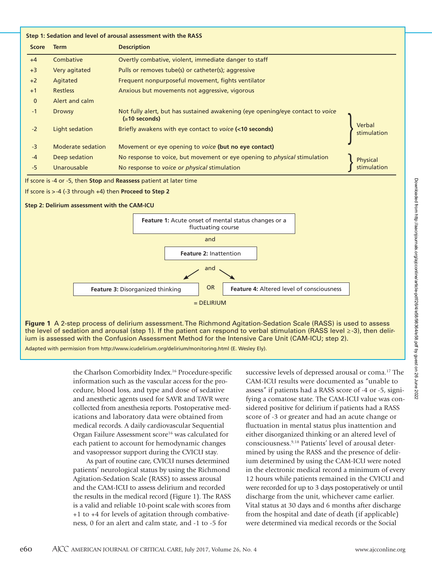| <b>Score</b> | <b>Term</b>       | <b>Description</b>                                                                                    |                       |
|--------------|-------------------|-------------------------------------------------------------------------------------------------------|-----------------------|
| $+4$         | Combative         | Overtly combative, violent, immediate danger to staff                                                 |                       |
| $+3$         | Very agitated     | Pulls or removes tube(s) or catheter(s); aggressive                                                   |                       |
| $+2$         | Agitated          | Frequent nonpurposeful movement, fights ventilator                                                    |                       |
| $+1$         | <b>Restless</b>   | Anxious but movements not aggressive, vigorous                                                        |                       |
| $\mathbf 0$  | Alert and calm    |                                                                                                       |                       |
| $-1$         | <b>Drowsy</b>     | Not fully alert, but has sustained awakening (eye opening/eye contact to voice<br>$( \ge 10$ seconds) |                       |
| $-2$         | Light sedation    | Briefly awakens with eye contact to voice (<10 seconds)                                               | Verbal<br>stimulation |
| $-3$         | Moderate sedation | Movement or eye opening to voice (but no eye contact)                                                 |                       |
| $-4$         | Deep sedation     | No response to voice, but movement or eye opening to <i>physical</i> stimulation                      | <b>Physical</b>       |
| $-5$         | Unarousable       | No response to voice or physical stimulation                                                          |                       |





**Figure 1** A 2-step process of delirium assessment. The Richmond Agitation-Sedation Scale (RASS) is used to assess the level of sedation and arousal (step 1). If the patient can respond to verbal stimulation (RASS level ≥-3), then delirium is assessed with the Confusion Assessment Method for the Intensive Care Unit (CAM-ICU; step 2).

Adapted with permission from http://www.icudelirium.org/delirium/monitoring.html (E. Wesley Ely).

the Charlson Comorbidity Index.16 Procedure-specific information such as the vascular access for the procedure, blood loss, and type and dose of sedative and anesthetic agents used for SAVR and TAVR were collected from anesthesia reports. Postoperative medications and laboratory data were obtained from medical records. A daily cardiovascular Sequential Organ Failure Assessment score<sup>16</sup> was calculated for each patient to account for hemodynamic changes and vasopressor support during the CVICU stay.

As part of routine care, CVICU nurses determined patients' neurological status by using the Richmond Agitation-Sedation Scale (RASS) to assess arousal and the CAM-ICU to assess delirium and recorded the results in the medical record (Figure 1). The RASS is a valid and reliable 10-point scale with scores from +1 to +4 for levels of agitation through combativeness, 0 for an alert and calm state, and -1 to -5 for

successive levels of depressed arousal or coma.<sup>17</sup> The CAM-ICU results were documented as "unable to assess" if patients had a RASS score of -4 or -5, signifying a comatose state. The CAM-ICU value was considered positive for delirium if patients had a RASS score of -3 or greater and had an acute change or fluctuation in mental status plus inattention and either disorganized thinking or an altered level of consciousness.9,18 Patients' level of arousal determined by using the RASS and the presence of delirium determined by using the CAM-ICU were noted in the electronic medical record a minimum of every 12 hours while patients remained in the CVICU and were recorded for up to 3 days postoperatively or until discharge from the unit, whichever came earlier. Vital status at 30 days and 6 months after discharge from the hospital and date of death (if applicable) were determined via medical records or the Social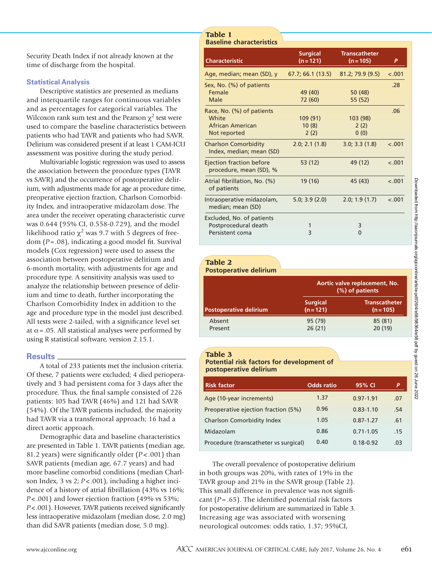Security Death Index if not already known at the time of discharge from the hospital.

# **Statistical Analysis**

Descriptive statistics are presented as medians and interquartile ranges for continuous variables and as percentages for categorical variables. The Wilcoxon rank sum test and the Pearson  $\chi^2$  test were used to compare the baseline characteristics between patients who had TAVR and patients who had SAVR. Delirium was considered present if at least 1 CAM-ICU assessment was positive during the study period.

Multivariable logistic regression was used to assess the association between the procedure types (TAVR vs SAVR) and the occurrence of postoperative delirium, with adjustments made for age at procedure time, preoperative ejection fraction, Charlson Comorbidity Index, and intraoperative midazolam dose. The area under the receiver operating characteristic curve was 0.644 (95% CI, 0.558-0.729), and the model likelihood ratio  $\chi^2$  was 9.7 with 5 degrees of freedom (*P*=.08), indicating a good model fit. Survival models (Cox regression) were used to assess the association between postoperative delirium and 6-month mortality, with adjustments for age and procedure type. A sensitivity analysis was used to analyze the relationship between presence of delirium and time to death, further incorporating the Charlson Comorbidity Index in addition to the age and procedure type in the model just described. All tests were 2-tailed, with a significance level set at  $\alpha$  = .05. All statistical analyses were performed by using R statistical software, version 2.15.1.

# **Results**

A total of 233 patients met the inclusion criteria. Of these, 7 patients were excluded; 4 died perioperatively and 3 had persistent coma for 3 days after the procedure. Thus, the final sample consisted of 226 patients: 105 had TAVR (46%) and 121 had SAVR (54%). Of the TAVR patients included, the majority had TAVR via a transfemoral approach; 16 had a direct aortic approach.

Demographic data and baseline characteristics are presented in Table 1. TAVR patients (median age, 81.2 years) were significantly older (*P* < .001) than SAVR patients (median age, 67.7 years) and had more baseline comorbid conditions (median Charlson Index, 3 vs 2; *P*<.001), including a higher incidence of a history of atrial fibrillation (43% vs 16%; *P*<.001) and lower ejection fraction (49% vs 53%; *P*<.001). However, TAVR patients received significantly less intraoperative midazolam (median dose, 2.0 mg) than did SAVR patients (median dose, 5.0 mg).

# **Table 1 Baseline characteristics**

| <b>Characteristic</b>                                   | <b>Surgical</b><br>$(n = 121)$ | Transcatheter<br>$(n = 105)$ | P       |
|---------------------------------------------------------|--------------------------------|------------------------------|---------|
| Age, median; mean (SD), y                               | 67.7; 66.1 (13.5)              | 81.2; 79.9 (9.5)             | $-.001$ |
| Sex, No. (%) of patients                                |                                |                              | .28     |
| Female                                                  | 49 (40)                        | 50 (48)                      |         |
| Male                                                    | 72 (60)                        | 55 (52)                      |         |
| Race, No. (%) of patients                               |                                |                              | .06     |
| White                                                   | 109 (91)                       | 103 (98)                     |         |
| African American                                        | 10(8)                          | 2(2)                         |         |
| Not reported                                            | 2(2)                           | 0(0)                         |         |
| <b>Charlson Comorbidity</b><br>Index, median; mean (SD) | 2.0; 2.1(1.8)                  | 3.0; 3.3(1.8)                | $-.001$ |
| Ejection fraction before<br>procedure, mean (SD), %     | 53 (12)                        | 49 (12)                      | $-.001$ |
| Atrial fibrillation, No. (%)<br>of patients             | 19 (16)                        | 45 (43)                      | $-.001$ |
| Intraoperative midazolam,<br>median; mean (SD)          | 5.0; 3.9(2.0)                  | 2.0; 1.9(1.7)                | < .001  |
| Excluded, No. of patients                               |                                |                              |         |
| Postprocedural death                                    |                                | 3                            |         |
| Persistent coma                                         | 3                              | $\Omega$                     |         |

# **Table 2**

| <b>Postoperative delirium</b> |                                                  |                                     |  |  |  |  |  |  |
|-------------------------------|--------------------------------------------------|-------------------------------------|--|--|--|--|--|--|
|                               | Aortic valve replacement, No.<br>(%) of patients |                                     |  |  |  |  |  |  |
| <b>Postoperative delirium</b> | <b>Surgical</b><br>$(n = 121)$                   | <b>Transcatheter</b><br>$(n = 105)$ |  |  |  |  |  |  |
| Absent<br>Present             | 95 (79)<br>26(21)                                | 85 (81)<br>20(19)                   |  |  |  |  |  |  |

# **Table 3**

**Potential risk factors for development of postoperative delirium**

| <b>Risk factor</b>                    | <b>Odds</b> ratio | 95% CI        | P   |
|---------------------------------------|-------------------|---------------|-----|
| Age (10-year increments)              | 1.37              | $0.97 - 1.91$ | .07 |
| Preoperative ejection fraction (5%)   | 0.96              | $0.83 - 1.10$ | .54 |
| <b>Charlson Comorbidity Index</b>     | 1.05              | $0.87 - 1.27$ | .61 |
| Midazolam                             | 0.86              | $0.71 - 1.05$ | .15 |
| Procedure (transcatheter vs surgical) | 0.40              | $0.18 - 0.92$ | .03 |

The overall prevalence of postoperative delirium in both groups was 20%, with rates of 19% in the TAVR group and 21% in the SAVR group (Table 2). This small difference in prevalence was not significant  $(P = .65)$ . The identified potential risk factors for postoperative delirium are summarized in Table 3. Increasing age was associated with worsening neurological outcomes: odds ratio, 1.37; 95%CI,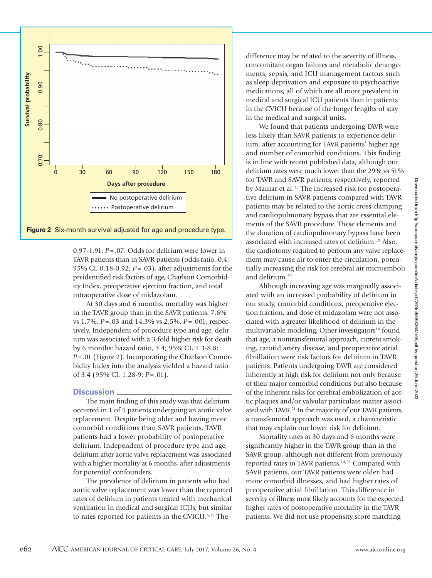

0.97-1.91; *P*=.07. Odds for delirium were lower in TAVR patients than in SAVR patients (odds ratio, 0.4; 95% CI, 0.18-0.92; *P*=.03), after adjustments for the preidentified risk factors of age, Charlson Comorbidity Index, preoperative ejection fraction, and total intraoperative dose of midazolam.

At 30 days and 6 months, mortality was higher in the TAVR group than in the SAVR patients: 7.6% vs 1.7%, *P*=.03 and 14.3% vs 2.5%, *P*=.001, respectively. Independent of procedure type and age, delirium was associated with a 3-fold higher risk for death by 6 months: hazard ratio, 3.4; 95% CI, 1.3-8.8; *P*=.01 (Figure 2). Incorporating the Charlson Comorbidity Index into the analysis yielded a hazard ratio of 3.4 (95% CI, 1.28-9; *P*=.01).

# **Discussion**

The main finding of this study was that delirium occurred in 1 of 5 patients undergoing an aortic valve replacement. Despite being older and having more comorbid conditions than SAVR patients, TAVR patients had a lower probability of postoperative delirium. Independent of procedure type and age, delirium after aortic valve replacement was associated with a higher mortality at 6 months, after adjustments for potential confounders.

The prevalence of delirium in patients who had aortic valve replacement was lower than the reported rates of delirium in patients treated with mechanical ventilation in medical and surgical ICUs, but similar to rates reported for patients in the CVICU.6,18 The

difference may be related to the severity of illness, concomitant organ failures and metabolic derangements, sepsis, and ICU management factors such as sleep deprivation and exposure to psychoactive medications, all of which are all more prevalent in medical and surgical ICU patients than in patients in the CVICU because of the longer lengths of stay in the medical and surgical units.

We found that patients undergoing TAVR were less likely than SAVR patients to experience delirium, after accounting for TAVR patients' higher age and number of comorbid conditions. This finding is in line with recent published data, although our delirium rates were much lower than the 29% vs 51% for TAVR and SAVR patients, respectively, reported by Maniar et al.<sup>15</sup> The increased risk for postoperative delirium in SAVR patients compared with TAVR patients may be related to the aortic cross-clamping and cardiopulmonary bypass that are essential elements of the SAVR procedure. These elements and the duration of cardiopulmonary bypass have been associated with increased rates of delirium.19 Also, the cardiotomy required to perform any valve replacement may cause air to enter the circulation, potentially increasing the risk for cerebral air microemboli and delirium.20

Although increasing age was marginally associated with an increased probability of delirium in our study, comorbid conditions, preoperative ejection fraction, and dose of midazolam were not associated with a greater likelihood of delirium in the multivariable modeling. Other investigators<sup>14</sup> found that age, a nontransfemoral approach, current smoking, carotid artery disease, and preoperative atrial fibrillation were risk factors for delirium in TAVR patients. Patients undergoing TAVR are considered inherently at high risk for delirium not only because of their major comorbid conditions but also because of the inherent risks for cerebral embolization of aortic plaques and/or valvular particulate matter associated with TAVR.<sup>21</sup> In the majority of our TAVR patients, a transfemoral approach was used, a characteristic that may explain our lower risk for delirium.

Mortality rates at 30 days and 6 months were significantly higher in the TAVR group than in the SAVR group, although not different from previously reported rates in TAVR patients.<sup>14,22</sup> Compared with SAVR patients, our TAVR patients were older, had more comorbid illnesses, and had higher rates of preoperative atrial fibrillation. This difference in severity of illness most likely accounts for the expected higher rates of postoperative mortality in the TAVR patients. We did not use propensity score matching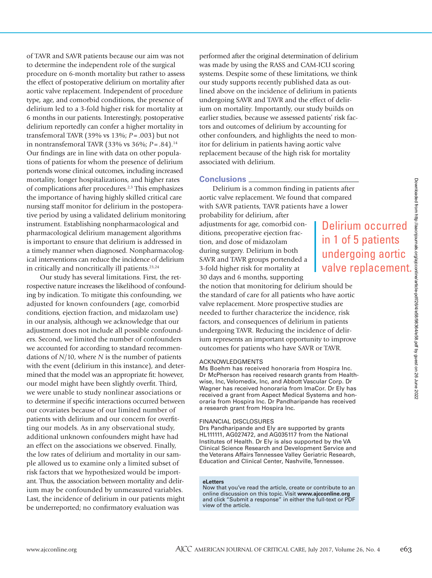of TAVR and SAVR patients because our aim was not to determine the independent role of the surgical procedure on 6-month mortality but rather to assess the effect of postoperative delirium on mortality after aortic valve replacement. Independent of procedure type, age, and comorbid conditions, the presence of delirium led to a 3-fold higher risk for mortality at 6 months in our patients. Interestingly, postoperative delirium reportedly can confer a higher mortality in transfemoral TAVR (39% vs 13%; *P*=.003) but not in nontransfemoral TAVR (33% vs 36%; *P*=.84).14 Our findings are in line with data on other populations of patients for whom the presence of delirium portends worse clinical outcomes, including increased mortality, longer hospitalizations, and higher rates of complications after procedures.2,3 This emphasizes the importance of having highly skilled critical care nursing staff monitor for delirium in the postoperative period by using a validated delirium monitoring instrument. Establishing nonpharmacological and pharmacological delirium management algorithms is important to ensure that delirium is addressed in a timely manner when diagnosed. Nonpharmacological interventions can reduce the incidence of delirium in critically and noncritically ill patients.<sup>23,24</sup>

Our study has several limitations. First, the retrospective nature increases the likelihood of confounding by indication. To mitigate this confounding, we adjusted for known confounders (age, comorbid conditions, ejection fraction, and midazolam use) in our analysis, although we acknowledge that our adjustment does not include all possible confounders. Second, we limited the number of confounders we accounted for according to standard recommendations of *N*/10, where *N* is the number of patients with the event (delirium in this instance), and determined that the model was an appropriate fit: however, our model might have been slightly overfit. Third, we were unable to study nonlinear associations or to determine if specific interactions occurred between our covariates because of our limited number of patients with delirium and our concern for overfitting our models. As in any observational study, additional unknown confounders might have had an effect on the associations we observed. Finally, the low rates of delirium and mortality in our sample allowed us to examine only a limited subset of risk factors that we hypothesized would be important. Thus, the association between mortality and delirium may be confounded by unmeasured variables. Last, the incidence of delirium in our patients might be underreported; no confirmatory evaluation was

performed after the original determination of delirium was made by using the RASS and CAM-ICU scoring systems. Despite some of these limitations, we think our study supports recently published data as outlined above on the incidence of delirium in patients undergoing SAVR and TAVR and the effect of delirium on mortality. Importantly, our study builds on earlier studies, because we assessed patients' risk factors and outcomes of delirium by accounting for other confounders, and highlights the need to monitor for delirium in patients having aortic valve replacement because of the high risk for mortality associated with delirium.

# **Conclusions**

Delirium is a common finding in patients after aortic valve replacement. We found that compared with SAVR patients, TAVR patients have a lower

probability for delirium, after adjustments for age, comorbid conditions, preoperative ejection fraction, and dose of midazolam during surgery. Delirium in both SAVR and TAVR groups portended a 3-fold higher risk for mortality at 30 days and 6 months, supporting

the notion that monitoring for delirium should be the standard of care for all patients who have aortic valve replacement. More prospective studies are needed to further characterize the incidence, risk factors, and consequences of delirium in patients undergoing TAVR. Reducing the incidence of delirium represents an important opportunity to improve outcomes for patients who have SAVR or TAVR.

# ACKNOWLEDGMENTS

Ms Boehm has received honoraria from Hospira Inc. Dr McPherson has received research grants from Healthwise, Inc, Velomedix, Inc, and Abbott Vascular Corp. Dr Wagner has received honoraria from ImaCor. Dr Ely has received a grant from Aspect Medical Systems and honoraria from Hospira Inc. Dr Pandharipande has received a research grant from Hospira Inc.

# FINANCIAL DISCLOSURES

Drs Pandharipande and Ely are supported by grants HL111111, AG027472, and AG035117 from the National Institutes of Health. Dr Ely is also supported by the VA Clinical Science Research and Development Service and the Veterans Affairs Tennessee Valley Geriatric Research, Education and Clinical Center, Nashville, Tennessee.

#### **eLetters**

Now that you've read the article, create or contribute to an online discussion on this topic. Visit **www.ajcconline.org** and click "Submit a response" in either the full-text or PDF view of the article.

Delirium occurred in 1 of 5 patients

undergoing aortic